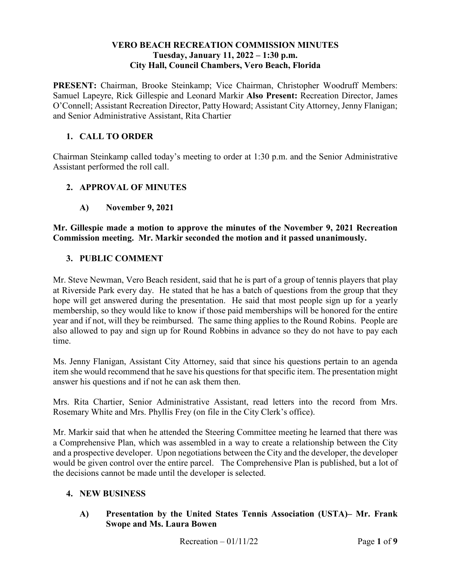#### **VERO BEACH RECREATION COMMISSION MINUTES**  Tuesday, January 11, 2022 – 1:30 p.m. **City Hall, Council Chambers, Vero Beach, Florida**

**PRESENT:** Chairman, Brooke Steinkamp; Vice Chairman, Christopher Woodruff Members: **PRESENT:** Chairman, Brooke Steinkamp; Vice Chairman, Christopher Woodruff Members: Samuel Lapeyre, Rick Gillespie and Leonard Markir **Also Present:** Recreation Director, James O'Connell; Assistant Recreation Director, Patty Howard; Assistant City Attorney, Jenny Flanigan; and Senior Administrative Assistant, Rita Chartier

### **1. CALL TO ORDER**

Chairman Steinkamp called today's meeting to order at 1:30 p.m. and the Senior Administrative Assistant performed the roll call.

### **2. APPROVAL OF MINUTES**

**A) November 9, 2021** 

 **Commission meeting. Mr. Markir seconded the motion and it passed unanimously. Mr. Gillespie made a motion to approve the minutes of the November 9, 2021 Recreation** 

#### **3. PUBLIC COMMENT**

Mr. Steve Newman, Vero Beach resident, said that he is part of a group of tennis players that play at Riverside Park every day. He stated that he has a batch of questions from the group that they hope will get answered during the presentation. He said that most people sign up for a yearly membership, so they would like to know if those paid memberships will be honored for the entire year and if not, will they be reimbursed. The same thing applies to the Round Robins. People are also allowed to pay and sign up for Round Robbins in advance so they do not have to pay each time.

 answer his questions and if not he can ask them then. Ms. Jenny Flanigan, Assistant City Attorney, said that since his questions pertain to an agenda item she would recommend that he save his questions for that specific item. The presentation might

 Rosemary White and Mrs. Phyllis Frey (on file in the City Clerk's office). Mrs. Rita Chartier, Senior Administrative Assistant, read letters into the record from Mrs.

 and a prospective developer. Upon negotiations between the City and the developer, the developer would be given control over the entire parcel. The Comprehensive Plan is published, but a lot of the decisions cannot be made until the developer is selected. Mr. Markir said that when he attended the Steering Committee meeting he learned that there was a Comprehensive Plan, which was assembled in a way to create a relationship between the City

#### **4. NEW BUSINESS**

 **Swope and Ms. Laura Bowen A) Presentation by the United States Tennis Association (USTA)– Mr. Frank**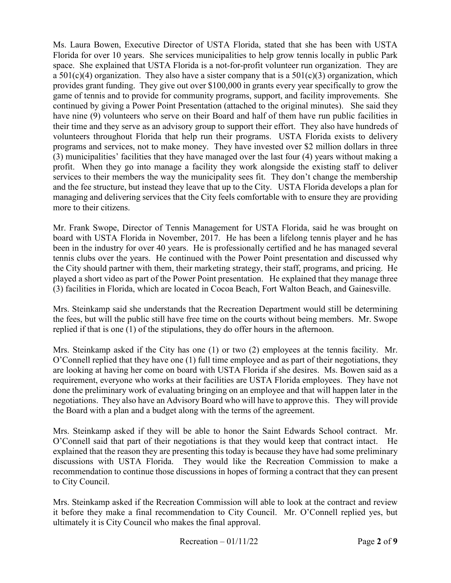Ms. Laura Bowen, Executive Director of USTA Florida, stated that she has been with USTA Florida for over 10 years. She services municipalities to help grow tennis locally in public Park space. She explained that USTA Florida is a not-for-profit volunteer run organization. They are game of tennis and to provide for community programs, support, and facility improvements. She have nine (9) volunteers who serve on their Board and half of them have run public facilities in their time and they serve as an advisory group to support their effort. They also have hundreds of (3) municipalities' facilities that they have managed over the last four (4) years without making a profit. When they go into manage a facility they work alongside the existing staff to deliver services to their members the way the municipality sees fit. They don't change the membership a  $501(c)(4)$  organization. They also have a sister company that is a  $501(c)(3)$  organization, which provides grant funding. They give out over \$100,000 in grants every year specifically to grow the continued by giving a Power Point Presentation (attached to the original minutes). She said they volunteers throughout Florida that help run their programs. USTA Florida exists to delivery programs and services, not to make money. They have invested over \$2 million dollars in three and the fee structure, but instead they leave that up to the City. USTA Florida develops a plan for managing and delivering services that the City feels comfortable with to ensure they are providing more to their citizens.

 Mr. Frank Swope, Director of Tennis Management for USTA Florida, said he was brought on board with USTA Florida in November, 2017. He has been a lifelong tennis player and he has the City should partner with them, their marketing strategy, their staff, programs, and pricing. He been in the industry for over 40 years. He is professionally certified and he has managed several tennis clubs over the years. He continued with the Power Point presentation and discussed why played a short video as part of the Power Point presentation. He explained that they manage three (3) facilities in Florida, which are located in Cocoa Beach, Fort Walton Beach, and Gainesville.

 the fees, but will the public still have free time on the courts without being members. Mr. Swope Mrs. Steinkamp said she understands that the Recreation Department would still be determining replied if that is one (1) of the stipulations, they do offer hours in the afternoon.

 Mrs. Steinkamp asked if the City has one (1) or two (2) employees at the tennis facility. Mr. O'Connell replied that they have one (1) full time employee and as part of their negotiations, they are looking at having her come on board with USTA Florida if she desires. Ms. Bowen said as a requirement, everyone who works at their facilities are USTA Florida employees. They have not negotiations. They also have an Advisory Board who will have to approve this. They will provide the Board with a plan and a budget along with the terms of the agreement. done the preliminary work of evaluating bringing on an employee and that will happen later in the

 Mrs. Steinkamp asked if they will be able to honor the Saint Edwards School contract. Mr. O'Connell said that part of their negotiations is that they would keep that contract intact. He recommendation to continue those discussions in hopes of forming a contract that they can present explained that the reason they are presenting this today is because they have had some preliminary discussions with USTA Florida. They would like the Recreation Commission to make a to City Council.

 ultimately it is City Council who makes the final approval. Mrs. Steinkamp asked if the Recreation Commission will able to look at the contract and review it before they make a final recommendation to City Council. Mr. O'Connell replied yes, but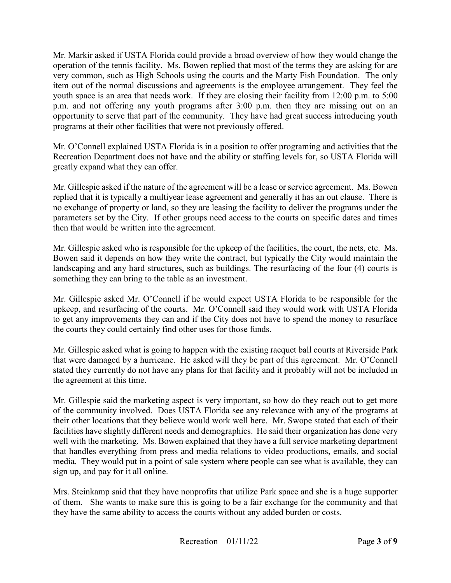operation of the tennis facility. Ms. Bowen replied that most of the terms they are asking for are youth space is an area that needs work. If they are closing their facility from 12:00 p.m. to 5:00 opportunity to serve that part of the community. They have had great success introducing youth Mr. Markir asked if USTA Florida could provide a broad overview of how they would change the very common, such as High Schools using the courts and the Marty Fish Foundation. The only item out of the normal discussions and agreements is the employee arrangement. They feel the p.m. and not offering any youth programs after 3:00 p.m. then they are missing out on an programs at their other facilities that were not previously offered.

 Mr. O'Connell explained USTA Florida is in a position to offer programing and activities that the Recreation Department does not have and the ability or staffing levels for, so USTA Florida will greatly expand what they can offer.

 Mr. Gillespie asked if the nature of the agreement will be a lease or service agreement. Ms. Bowen replied that it is typically a multiyear lease agreement and generally it has an out clause. There is parameters set by the City. If other groups need access to the courts on specific dates and times no exchange of property or land, so they are leasing the facility to deliver the programs under the then that would be written into the agreement.

 Bowen said it depends on how they write the contract, but typically the City would maintain the Mr. Gillespie asked who is responsible for the upkeep of the facilities, the court, the nets, etc. Ms. landscaping and any hard structures, such as buildings. The resurfacing of the four (4) courts is something they can bring to the table as an investment.

 upkeep, and resurfacing of the courts. Mr. O'Connell said they would work with USTA Florida Mr. Gillespie asked Mr. O'Connell if he would expect USTA Florida to be responsible for the to get any improvements they can and if the City does not have to spend the money to resurface the courts they could certainly find other uses for those funds.

 the agreement at this time. Mr. Gillespie asked what is going to happen with the existing racquet ball courts at Riverside Park that were damaged by a hurricane. He asked will they be part of this agreement. Mr. O'Connell stated they currently do not have any plans for that facility and it probably will not be included in

 Mr. Gillespie said the marketing aspect is very important, so how do they reach out to get more facilities have slightly different needs and demographics. He said their organization has done very media. They would put in a point of sale system where people can see what is available, they can sign up, and pay for it all online. of the community involved. Does USTA Florida see any relevance with any of the programs at their other locations that they believe would work well here. Mr. Swope stated that each of their well with the marketing. Ms. Bowen explained that they have a full service marketing department that handles everything from press and media relations to video productions, emails, and social

Mrs. Steinkamp said that they have nonprofits that utilize Park space and she is a huge supporter of them. She wants to make sure this is going to be a fair exchange for the community and that they have the same ability to access the courts without any added burden or costs.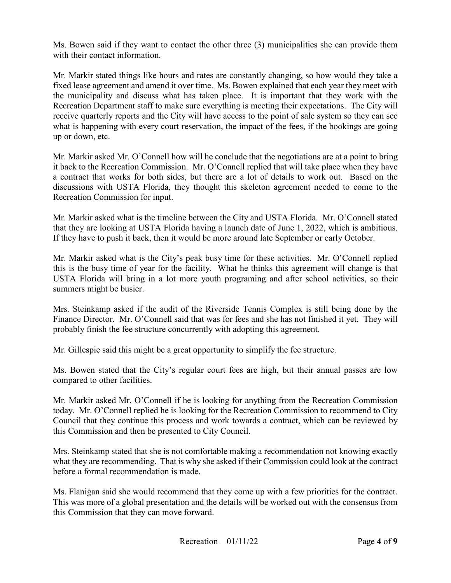Ms. Bowen said if they want to contact the other three (3) municipalities she can provide them with their contact information.

 fixed lease agreement and amend it over time. Ms. Bowen explained that each year they meet with receive quarterly reports and the City will have access to the point of sale system so they can see Mr. Markir stated things like hours and rates are constantly changing, so how would they take a the municipality and discuss what has taken place. It is important that they work with the Recreation Department staff to make sure everything is meeting their expectations. The City will what is happening with every court reservation, the impact of the fees, if the bookings are going up or down, etc.

 Recreation Commission for input. Mr. Markir asked Mr. O'Connell how will he conclude that the negotiations are at a point to bring it back to the Recreation Commission. Mr. O'Connell replied that will take place when they have a contract that works for both sides, but there are a lot of details to work out. Based on the discussions with USTA Florida, they thought this skeleton agreement needed to come to the

 that they are looking at USTA Florida having a launch date of June 1, 2022, which is ambitious. Mr. Markir asked what is the timeline between the City and USTA Florida. Mr. O'Connell stated If they have to push it back, then it would be more around late September or early October.

 Mr. Markir asked what is the City's peak busy time for these activities. Mr. O'Connell replied this is the busy time of year for the facility. What he thinks this agreement will change is that USTA Florida will bring in a lot more youth programing and after school activities, so their summers might be busier.

 Finance Director. Mr. O'Connell said that was for fees and she has not finished it yet. They will probably finish the fee structure concurrently with adopting this agreement. Mrs. Steinkamp asked if the audit of the Riverside Tennis Complex is still being done by the

probably finish the fee structure concurrently with adopting this agreement. Mr. Gillespie said this might be a great opportunity to simplify the fee structure.

Ms. Bowen stated that the City's regular court fees are high, but their annual passes are low compared to other facilities.

 today. Mr. O'Connell replied he is looking for the Recreation Commission to recommend to City Mr. Markir asked Mr. O'Connell if he is looking for anything from the Recreation Commission Council that they continue this process and work towards a contract, which can be reviewed by this Commission and then be presented to City Council.

 what they are recommending. That is why she asked if their Commission could look at the contract Mrs. Steinkamp stated that she is not comfortable making a recommendation not knowing exactly before a formal recommendation is made.

Ms. Flanigan said she would recommend that they come up with a few priorities for the contract. This was more of a global presentation and the details will be worked out with the consensus from this Commission that they can move forward.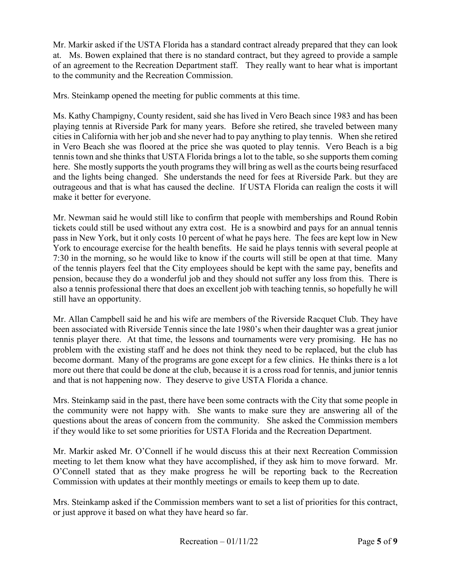at. Ms. Bowen explained that there is no standard contract, but they agreed to provide a sample Mr. Markir asked if the USTA Florida has a standard contract already prepared that they can look of an agreement to the Recreation Department staff. They really want to hear what is important to the community and the Recreation Commission.

Mrs. Steinkamp opened the meeting for public comments at this time.

 Ms. Kathy Champigny, County resident, said she has lived in Vero Beach since 1983 and has been playing tennis at Riverside Park for many years. Before she retired, she traveled between many cities in California with her job and she never had to pay anything to play tennis. When she retired here. She mostly supports the youth programs they will bring as well as the courts being resurfaced and the lights being changed. She understands the need for fees at Riverside Park. but they are outrageous and that is what has caused the decline. If USTA Florida can realign the costs it will make it better for everyone. in Vero Beach she was floored at the price she was quoted to play tennis. Vero Beach is a big tennis town and she thinks that USTA Florida brings a lot to the table, so she supports them coming

 pass in New York, but it only costs 10 percent of what he pays here. The fees are kept low in New 7:30 in the morning, so he would like to know if the courts will still be open at that time. Many pension, because they do a wonderful job and they should not suffer any loss from this. There is still have an opportunity. Mr. Newman said he would still like to confirm that people with memberships and Round Robin tickets could still be used without any extra cost. He is a snowbird and pays for an annual tennis York to encourage exercise for the health benefits. He said he plays tennis with several people at of the tennis players feel that the City employees should be kept with the same pay, benefits and also a tennis professional there that does an excellent job with teaching tennis, so hopefully he will

 problem with the existing staff and he does not think they need to be replaced, but the club has become dormant. Many of the programs are gone except for a few clinics. He thinks there is a lot more out there that could be done at the club, because it is a cross road for tennis, and junior tennis Mr. Allan Campbell said he and his wife are members of the Riverside Racquet Club. They have been associated with Riverside Tennis since the late 1980's when their daughter was a great junior tennis player there. At that time, the lessons and tournaments were very promising. He has no and that is not happening now. They deserve to give USTA Florida a chance.

 questions about the areas of concern from the community. She asked the Commission members Mrs. Steinkamp said in the past, there have been some contracts with the City that some people in the community were not happy with. She wants to make sure they are answering all of the if they would like to set some priorities for USTA Florida and the Recreation Department.

 Mr. Markir asked Mr. O'Connell if he would discuss this at their next Recreation Commission meeting to let them know what they have accomplished, if they ask him to move forward. Mr. Commission with updates at their monthly meetings or emails to keep them up to date. O'Connell stated that as they make progress he will be reporting back to the Recreation

Mrs. Steinkamp asked if the Commission members want to set a list of priorities for this contract, or just approve it based on what they have heard so far.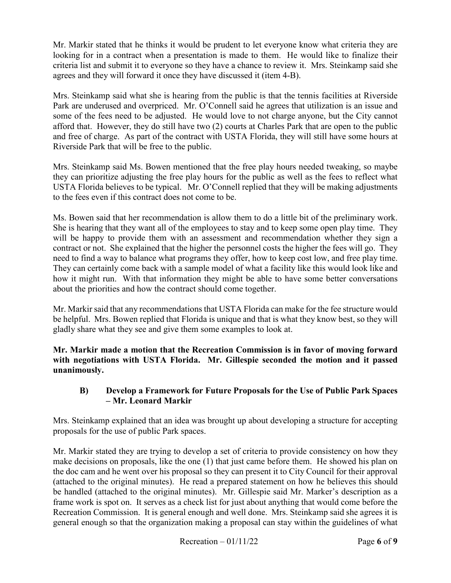looking for in a contract when a presentation is made to them. He would like to finalize their criteria list and submit it to everyone so they have a chance to review it. Mrs. Steinkamp said she Mr. Markir stated that he thinks it would be prudent to let everyone know what criteria they are agrees and they will forward it once they have discussed it (item 4-B).

 afford that. However, they do still have two (2) courts at Charles Park that are open to the public Mrs. Steinkamp said what she is hearing from the public is that the tennis facilities at Riverside Park are underused and overpriced. Mr. O'Connell said he agrees that utilization is an issue and some of the fees need to be adjusted. He would love to not charge anyone, but the City cannot and free of charge. As part of the contract with USTA Florida, they will still have some hours at Riverside Park that will be free to the public.

 USTA Florida believes to be typical. Mr. O'Connell replied that they will be making adjustments to the fees even if this contract does not come to be. Mrs. Steinkamp said Ms. Bowen mentioned that the free play hours needed tweaking, so maybe they can prioritize adjusting the free play hours for the public as well as the fees to reflect what

 She is hearing that they want all of the employees to stay and to keep some open play time. They need to find a way to balance what programs they offer, how to keep cost low, and free play time. Ms. Bowen said that her recommendation is allow them to do a little bit of the preliminary work. will be happy to provide them with an assessment and recommendation whether they sign a contract or not. She explained that the higher the personnel costs the higher the fees will go. They They can certainly come back with a sample model of what a facility like this would look like and how it might run. With that information they might be able to have some better conversations about the priorities and how the contract should come together.

 Mr. Markir said that any recommendations that USTA Florida can make for the fee structure would be helpful. Mrs. Bowen replied that Florida is unique and that is what they know best, so they will gladly share what they see and give them some examples to look at.

 **Mr. Markir made a motion that the Recreation Commission is in favor of moving forward with negotiations with USTA Florida. Mr. Gillespie seconded the motion and it passed unanimously.** 

## **B) Develop a Framework for Future Proposals for the Use of Public Park Spaces – Mr. Leonard Markir**

 Mrs. Steinkamp explained that an idea was brought up about developing a structure for accepting proposals for the use of public Park spaces.

 Mr. Markir stated they are trying to develop a set of criteria to provide consistency on how they make decisions on proposals, like the one (1) that just came before them. He showed his plan on the doc cam and he went over his proposal so they can present it to City Council for their approval be handled (attached to the original minutes). Mr. Gillespie said Mr. Marker's description as a frame work is spot on. It serves as a check list for just about anything that would come before the Recreation Commission. It is general enough and well done. Mrs. Steinkamp said she agrees it is general enough so that the organization making a proposal can stay within the guidelines of what (attached to the original minutes). He read a prepared statement on how he believes this should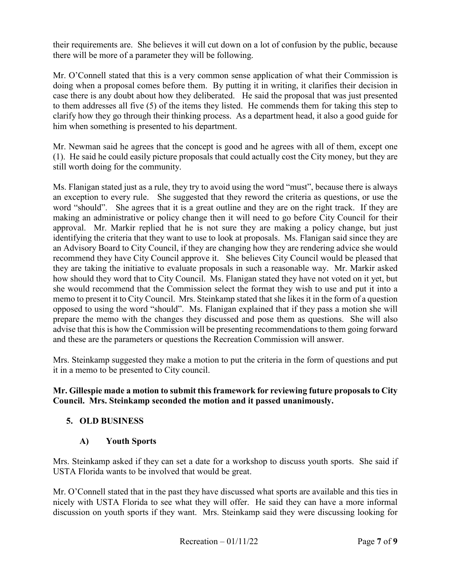there will be more of a parameter they will be following. their requirements are. She believes it will cut down on a lot of confusion by the public, because

 doing when a proposal comes before them. By putting it in writing, it clarifies their decision in case there is any doubt about how they deliberated. He said the proposal that was just presented to them addresses all five (5) of the items they listed. He commends them for taking this step to Mr. O'Connell stated that this is a very common sense application of what their Commission is clarify how they go through their thinking process. As a department head, it also a good guide for him when something is presented to his department.

 (1). He said he could easily picture proposals that could actually cost the City money, but they are Mr. Newman said he agrees that the concept is good and he agrees with all of them, except one still worth doing for the community.

 Ms. Flanigan stated just as a rule, they try to avoid using the word "must", because there is always an exception to every rule. She suggested that they reword the criteria as questions, or use the word "should". She agrees that it is a great outline and they are on the right track. If they are approval. Mr. Markir replied that he is not sure they are making a policy change, but just identifying the criteria that they want to use to look at proposals. Ms. Flanigan said since they are an Advisory Board to City Council, if they are changing how they are rendering advice she would how should they word that to City Council. Ms. Flanigan stated they have not voted on it yet, but she would recommend that the Commission select the format they wish to use and put it into a opposed to using the word "should". Ms. Flanigan explained that if they pass a motion she will and these are the parameters or questions the Recreation Commission will answer. making an administrative or policy change then it will need to go before City Council for their recommend they have City Council approve it. She believes City Council would be pleased that they are taking the initiative to evaluate proposals in such a reasonable way. Mr. Markir asked memo to present it to City Council. Mrs. Steinkamp stated that she likes it in the form of a question prepare the memo with the changes they discussed and pose them as questions. She will also advise that this is how the Commission will be presenting recommendations to them going forward

 Mrs. Steinkamp suggested they make a motion to put the criteria in the form of questions and put it in a memo to be presented to City council.

#### **Mr. Gillespie made a motion to submit this framework for reviewing future proposals to City Council. Mrs. Steinkamp seconded the motion and it passed unanimously.**

## **5. OLD BUSINESS**

## **A) Youth Sports**

 USTA Florida wants to be involved that would be great. Mrs. Steinkamp asked if they can set a date for a workshop to discuss youth sports. She said if

 discussion on youth sports if they want. Mrs. Steinkamp said they were discussing looking for Mr. O'Connell stated that in the past they have discussed what sports are available and this ties in nicely with USTA Florida to see what they will offer. He said they can have a more informal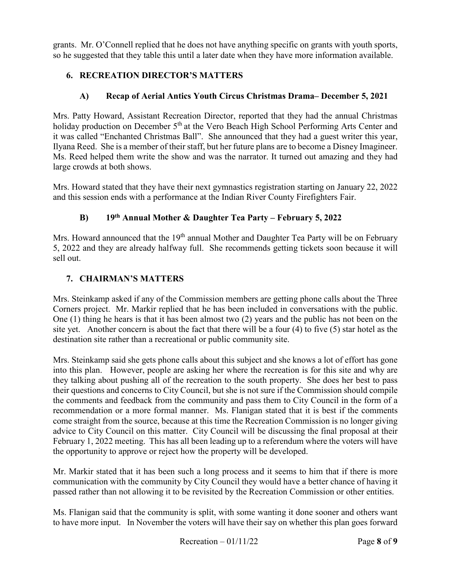grants. Mr. O'Connell replied that he does not have anything specific on grants with youth sports, so he suggested that they table this until a later date when they have more information available.

## **6. RECREATION DIRECTOR'S MATTERS**

# **A) Recap of Aerial Antics Youth Circus Christmas Drama– December 5, 2021**

 Ilyana Reed. She is a member of their staff, but her future plans are to become a Disney Imagineer. Mrs. Patty Howard, Assistant Recreation Director, reported that they had the annual Christmas holiday production on December  $5<sup>th</sup>$  at the Vero Beach High School Performing Arts Center and it was called "Enchanted Christmas Ball". She announced that they had a guest writer this year, Ms. Reed helped them write the show and was the narrator. It turned out amazing and they had large crowds at both shows.

 Mrs. Howard stated that they have their next gymnastics registration starting on January 22, 2022 and this session ends with a performance at the Indian River County Firefighters Fair.

# **B) 19th Annual Mother & Daughter Tea Party – February 5, 2022**

Mrs. Howard announced that the 19<sup>th</sup> annual Mother and Daughter Tea Party will be on February 5, 2022 and they are already halfway full. She recommends getting tickets soon because it will sell out.

## **7. CHAIRMAN'S MATTERS**

 Mrs. Steinkamp asked if any of the Commission members are getting phone calls about the Three Corners project. Mr. Markir replied that he has been included in conversations with the public. site yet. Another concern is about the fact that there will be a four (4) to five (5) star hotel as the One (1) thing he hears is that it has been almost two (2) years and the public has not been on the destination site rather than a recreational or public community site.

 into this plan. However, people are asking her where the recreation is for this site and why are the comments and feedback from the community and pass them to City Council in the form of a advice to City Council on this matter. City Council will be discussing the final proposal at their February 1, 2022 meeting. This has all been leading up to a referendum where the voters will have Mrs. Steinkamp said she gets phone calls about this subject and she knows a lot of effort has gone they talking about pushing all of the recreation to the south property. She does her best to pass their questions and concerns to City Council, but she is not sure if the Commission should compile recommendation or a more formal manner. Ms. Flanigan stated that it is best if the comments come straight from the source, because at this time the Recreation Commission is no longer giving the opportunity to approve or reject how the property will be developed.

Mr. Markir stated that it has been such a long process and it seems to him that if there is more communication with the community by City Council they would have a better chance of having it

passed rather than not allowing it to be revisited by the Recreation Commission or other entities.<br>Ms. Flanigan said that the community is split, with some wanting it done sooner and others want Ms. Flanigan said that the community is split, with some wanting it done sooner and others want to have more input. In November the voters will have their say on whether this plan goes forward